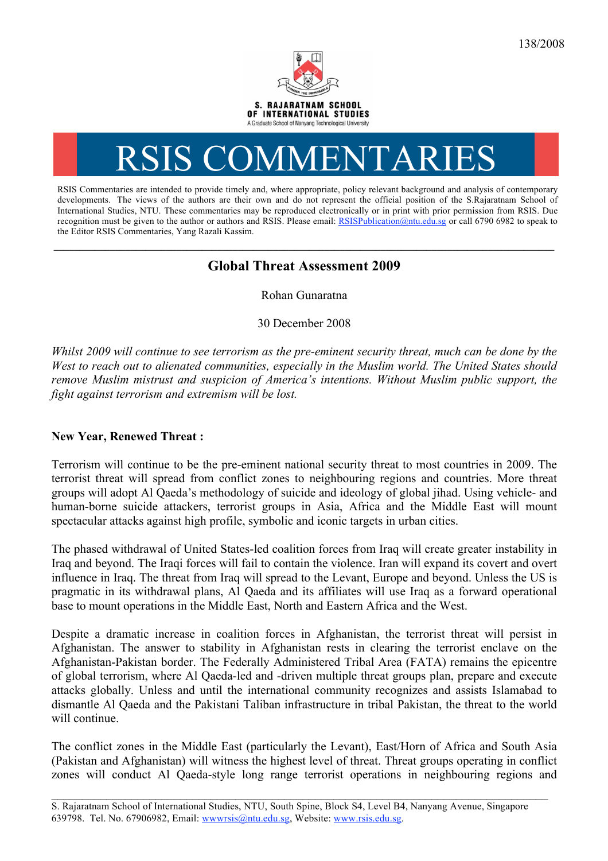

# RSIS COMMENTARIES

RSIS Commentaries are intended to provide timely and, where appropriate, policy relevant background and analysis of contemporary developments. The views of the authors are their own and do not represent the official position of the S.Rajaratnam School of International Studies, NTU. These commentaries may be reproduced electronically or in print with prior permission from RSIS. Due recognition must be given to the author or authors and RSIS. Please email: RSISPublication@ntu.edu.sg or call 6790 6982 to speak to the Editor RSIS Commentaries, Yang Razali Kassim.

# **Global Threat Assessment 2009**

Rohan Gunaratna

30 December 2008

*Whilst 2009 will continue to see terrorism as the pre-eminent security threat, much can be done by the West to reach out to alienated communities, especially in the Muslim world. The United States should remove Muslim mistrust and suspicion of America's intentions. Without Muslim public support, the fight against terrorism and extremism will be lost.*

#### **New Year, Renewed Threat :**

Terrorism will continue to be the pre-eminent national security threat to most countries in 2009. The terrorist threat will spread from conflict zones to neighbouring regions and countries. More threat groups will adopt Al Qaeda's methodology of suicide and ideology of global jihad. Using vehicle- and human-borne suicide attackers, terrorist groups in Asia, Africa and the Middle East will mount spectacular attacks against high profile, symbolic and iconic targets in urban cities.

The phased withdrawal of United States-led coalition forces from Iraq will create greater instability in Iraq and beyond. The Iraqi forces will fail to contain the violence. Iran will expand its covert and overt influence in Iraq. The threat from Iraq will spread to the Levant, Europe and beyond. Unless the US is pragmatic in its withdrawal plans, Al Qaeda and its affiliates will use Iraq as a forward operational base to mount operations in the Middle East, North and Eastern Africa and the West.

Despite a dramatic increase in coalition forces in Afghanistan, the terrorist threat will persist in Afghanistan. The answer to stability in Afghanistan rests in clearing the terrorist enclave on the Afghanistan-Pakistan border. The Federally Administered Tribal Area (FATA) remains the epicentre of global terrorism, where Al Qaeda-led and -driven multiple threat groups plan, prepare and execute attacks globally. Unless and until the international community recognizes and assists Islamabad to dismantle Al Qaeda and the Pakistani Taliban infrastructure in tribal Pakistan, the threat to the world will continue.

The conflict zones in the Middle East (particularly the Levant), East/Horn of Africa and South Asia (Pakistan and Afghanistan) will witness the highest level of threat. Threat groups operating in conflict zones will conduct Al Qaeda-style long range terrorist operations in neighbouring regions and

 $\_$  , and the contribution of the contribution of the contribution of the contribution of  $\mathcal{L}_\text{max}$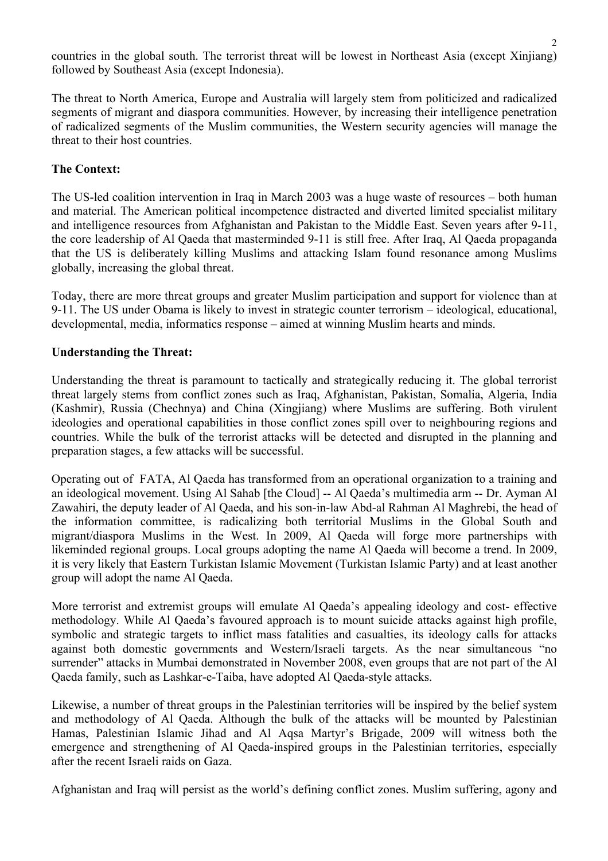countries in the global south. The terrorist threat will be lowest in Northeast Asia (except Xinjiang) followed by Southeast Asia (except Indonesia).

The threat to North America, Europe and Australia will largely stem from politicized and radicalized segments of migrant and diaspora communities. However, by increasing their intelligence penetration of radicalized segments of the Muslim communities, the Western security agencies will manage the threat to their host countries.

## **The Context:**

The US-led coalition intervention in Iraq in March 2003 was a huge waste of resources – both human and material. The American political incompetence distracted and diverted limited specialist military and intelligence resources from Afghanistan and Pakistan to the Middle East. Seven years after 9-11, the core leadership of Al Qaeda that masterminded 9-11 is still free. After Iraq, Al Qaeda propaganda that the US is deliberately killing Muslims and attacking Islam found resonance among Muslims globally, increasing the global threat.

Today, there are more threat groups and greater Muslim participation and support for violence than at 9-11. The US under Obama is likely to invest in strategic counter terrorism – ideological, educational, developmental, media, informatics response – aimed at winning Muslim hearts and minds.

#### **Understanding the Threat:**

Understanding the threat is paramount to tactically and strategically reducing it. The global terrorist threat largely stems from conflict zones such as Iraq, Afghanistan, Pakistan, Somalia, Algeria, India (Kashmir), Russia (Chechnya) and China (Xingjiang) where Muslims are suffering. Both virulent ideologies and operational capabilities in those conflict zones spill over to neighbouring regions and countries. While the bulk of the terrorist attacks will be detected and disrupted in the planning and preparation stages, a few attacks will be successful.

Operating out of FATA, Al Qaeda has transformed from an operational organization to a training and an ideological movement. Using Al Sahab [the Cloud] -- Al Qaeda's multimedia arm -- Dr. Ayman Al Zawahiri, the deputy leader of Al Qaeda, and his son-in-law Abd-al Rahman Al Maghrebi, the head of the information committee, is radicalizing both territorial Muslims in the Global South and migrant/diaspora Muslims in the West. In 2009, Al Qaeda will forge more partnerships with likeminded regional groups. Local groups adopting the name Al Qaeda will become a trend. In 2009, it is very likely that Eastern Turkistan Islamic Movement (Turkistan Islamic Party) and at least another group will adopt the name Al Qaeda.

More terrorist and extremist groups will emulate Al Qaeda's appealing ideology and cost- effective methodology. While Al Qaeda's favoured approach is to mount suicide attacks against high profile, symbolic and strategic targets to inflict mass fatalities and casualties, its ideology calls for attacks against both domestic governments and Western/Israeli targets. As the near simultaneous "no surrender" attacks in Mumbai demonstrated in November 2008, even groups that are not part of the Al Qaeda family, such as Lashkar-e-Taiba, have adopted Al Qaeda-style attacks.

Likewise, a number of threat groups in the Palestinian territories will be inspired by the belief system and methodology of Al Qaeda. Although the bulk of the attacks will be mounted by Palestinian Hamas, Palestinian Islamic Jihad and Al Aqsa Martyr's Brigade, 2009 will witness both the emergence and strengthening of Al Qaeda-inspired groups in the Palestinian territories, especially after the recent Israeli raids on Gaza.

Afghanistan and Iraq will persist as the world's defining conflict zones. Muslim suffering, agony and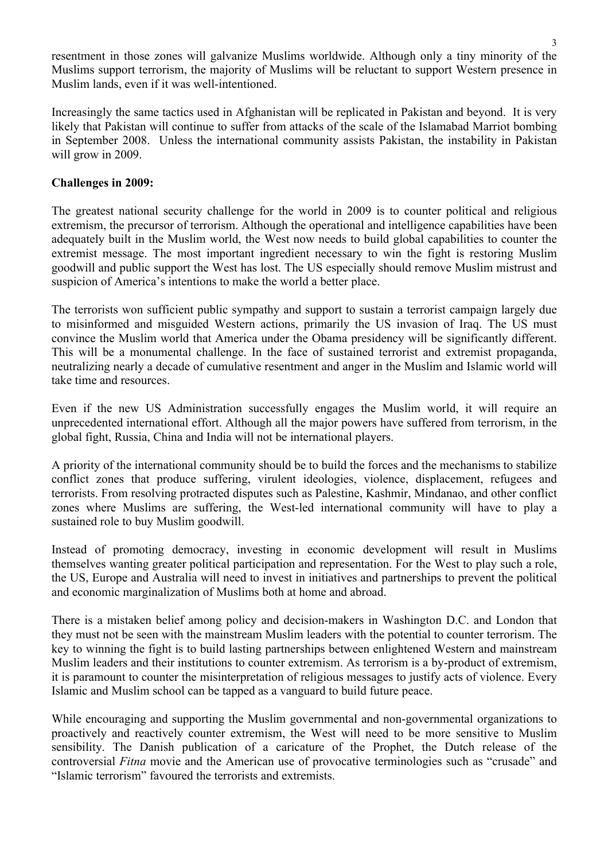resentment in those zones will galvanize Muslims worldwide. Although only a tiny minority of the Muslims support terrorism, the majority of Muslims will be reluctant to support Western presence in Muslim lands, even if it was well-intentioned.

Increasingly the same tactics used in Afghanistan will be replicated in Pakistan and beyond. It is very likely that Pakistan will continue to suffer from attacks of the scale of the Islamabad Marriot bombing in September 2008. Unless the international community assists Pakistan, the instability in Pakistan will grow in 2009.

### **Challenges in 2009:**

The greatest national security challenge for the world in 2009 is to counter political and religious extremism, the precursor of terrorism. Although the operational and intelligence capabilities have been adequately built in the Muslim world, the West now needs to build global capabilities to counter the extremist message. The most important ingredient necessary to win the fight is restoring Muslim goodwill and public support the West has lost. The US especially should remove Muslim mistrust and suspicion of America's intentions to make the world a better place.

The terrorists won sufficient public sympathy and support to sustain a terrorist campaign largely due to misinformed and misguided Western actions, primarily the US invasion of Iraq. The US must convince the Muslim world that America under the Obama presidency will be significantly different. This will be a monumental challenge. In the face of sustained terrorist and extremist propaganda, neutralizing nearly a decade of cumulative resentment and anger in the Muslim and Islamic world will take time and resources.

Even if the new US Administration successfully engages the Muslim world, it will require an unprecedented international effort. Although all the major powers have suffered from terrorism, in the global fight, Russia, China and India will not be international players.

A priority of the international community should be to build the forces and the mechanisms to stabilize conflict zones that produce suffering, virulent ideologies, violence, displacement, refugees and terrorists. From resolving protracted disputes such as Palestine, Kashmir, Mindanao, and other conflict zones where Muslims are suffering, the West-led international community will have to play a sustained role to buy Muslim goodwill.

Instead of promoting democracy, investing in economic development will result in Muslims themselves wanting greater political participation and representation. For the West to play such a role, the US, Europe and Australia will need to invest in initiatives and partnerships to prevent the political and economic marginalization of Muslims both at home and abroad.

There is a mistaken belief among policy and decision-makers in Washington D.C. and London that they must not be seen with the mainstream Muslim leaders with the potential to counter terrorism. The key to winning the fight is to build lasting partnerships between enlightened Western and mainstream Muslim leaders and their institutions to counter extremism. As terrorism is a by-product of extremism, it is paramount to counter the misinterpretation of religious messages to justify acts of violence. Every Islamic and Muslim school can be tapped as a vanguard to build future peace.

While encouraging and supporting the Muslim governmental and non-governmental organizations to proactively and reactively counter extremism, the West will need to be more sensitive to Muslim sensibility. The Danish publication of a caricature of the Prophet, the Dutch release of the controversial *Fitna* movie and the American use of provocative terminologies such as "crusade" and "Islamic terrorism" favoured the terrorists and extremists.